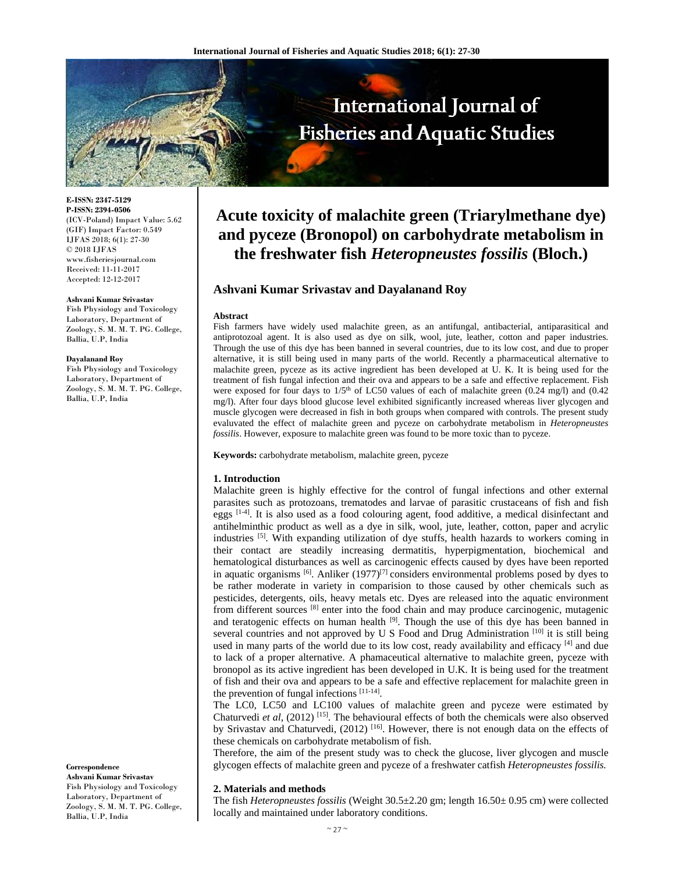

**E-ISSN: 2347-5129 P-ISSN: 2394-0506**  (ICV-Poland) Impact Value: 5.62 (GIF) Impact Factor: 0.549 IJFAS 2018; 6(1): 27-30  $\odot$  2018 IJFAS www.fisheriesjournal.com Received: 11-11-2017 Accepted: 12-12-2017

#### **Ashvani Kumar Srivastav**

Fish Physiology and Toxicology Laboratory, Department of Zoology, S. M. M. T. PG. College, Ballia, U.P, India

#### **Dayalanand Roy**

Fish Physiology and Toxicology Laboratory, Department of Zoology, S. M. M. T. PG. College, Ballia, U.P, India

**Correspondence** 

**Ashvani Kumar Srivastav**  Fish Physiology and Toxicology Laboratory, Department of Zoology, S. M. M. T. PG. College, Ballia, U.P, India

# **Acute toxicity of malachite green (Triarylmethane dye) and pyceze (Bronopol) on carbohydrate metabolism in the freshwater fish** *Heteropneustes fossilis* **(Bloch.)**

# **Ashvani Kumar Srivastav and Dayalanand Roy**

## **Abstract**

Fish farmers have widely used malachite green, as an antifungal, antibacterial, antiparasitical and antiprotozoal agent. It is also used as dye on silk, wool, jute, leather, cotton and paper industries. Through the use of this dye has been banned in several countries, due to its low cost, and due to proper alternative, it is still being used in many parts of the world. Recently a pharmaceutical alternative to malachite green, pyceze as its active ingredient has been developed at U. K. It is being used for the treatment of fish fungal infection and their ova and appears to be a safe and effective replacement. Fish were exposed for four days to  $1/5<sup>th</sup>$  of LC50 values of each of malachite green (0.24 mg/l) and (0.42 mg/l). After four days blood glucose level exhibited significantly increased whereas liver glycogen and muscle glycogen were decreased in fish in both groups when compared with controls. The present study evaluvated the effect of malachite green and pyceze on carbohydrate metabolism in *Heteropneustes fossilis*. However, exposure to malachite green was found to be more toxic than to pyceze.

**Keywords:** carbohydrate metabolism, malachite green, pyceze

### **1. Introduction**

Malachite green is highly effective for the control of fungal infections and other external parasites such as protozoans, trematodes and larvae of parasitic crustaceans of fish and fish eggs  $[1-4]$ . It is also used as a food colouring agent, food additive, a medical disinfectant and antihelminthic product as well as a dye in silk, wool, jute, leather, cotton, paper and acrylic industries [5]. With expanding utilization of dye stuffs, health hazards to workers coming in their contact are steadily increasing dermatitis, hyperpigmentation, biochemical and hematological disturbances as well as carcinogenic effects caused by dyes have been reported in aquatic organisms  $[6]$ . Anliker (1977)<sup>[7]</sup> considers environmental problems posed by dyes to be rather moderate in variety in comparision to those caused by other chemicals such as pesticides, detergents, oils, heavy metals etc. Dyes are released into the aquatic environment from different sources [8] enter into the food chain and may produce carcinogenic, mutagenic and teratogenic effects on human health <sup>[9]</sup>. Though the use of this dye has been banned in several countries and not approved by U S Food and Drug Administration [10] it is still being used in many parts of the world due to its low cost, ready availability and efficacy [4] and due to lack of a proper alternative. A phamaceutical alternative to malachite green, pyceze with bronopol as its active ingredient has been developed in U.K. It is being used for the treatment of fish and their ova and appears to be a safe and effective replacement for malachite green in the prevention of fungal infections [11-14].

The LC0, LC50 and LC100 values of malachite green and pyceze were estimated by Chaturvedi *et al*, (2012) [15]. The behavioural effects of both the chemicals were also observed by Srivastav and Chaturvedi, (2012) <sup>[16]</sup>. However, there is not enough data on the effects of these chemicals on carbohydrate metabolism of fish.

Therefore, the aim of the present study was to check the glucose, liver glycogen and muscle glycogen effects of malachite green and pyceze of a freshwater catfish *Heteropneustes fossilis.*

#### **2. Materials and methods**

The fish *Heteropneustes fossilis* (Weight 30.5±2.20 gm; length 16.50± 0.95 cm) were collected locally and maintained under laboratory conditions.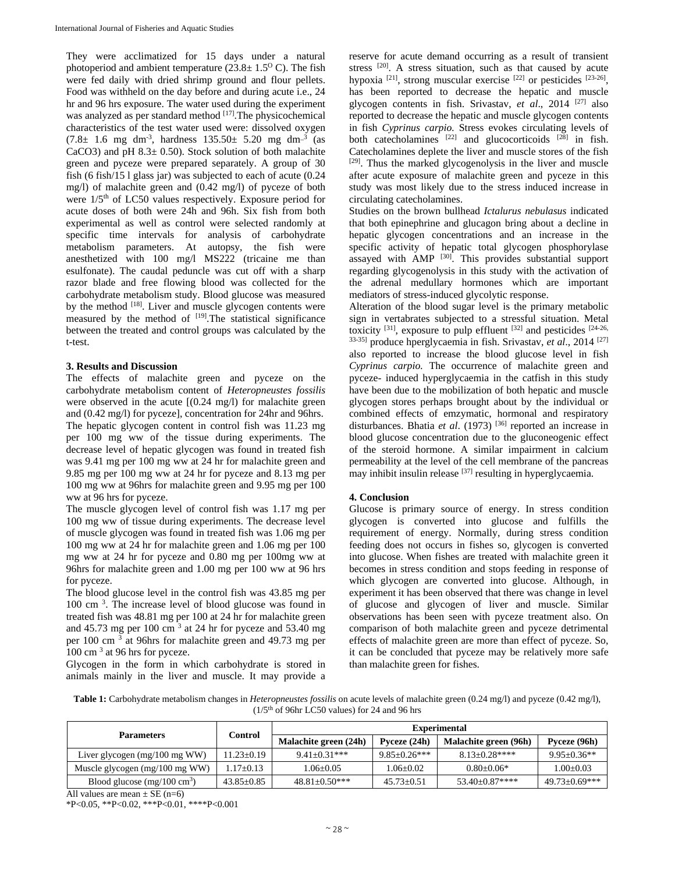They were acclimatized for 15 days under a natural photoperiod and ambient temperature  $(23.8 \pm 1.5^{\circ} \text{ C})$ . The fish were fed daily with dried shrimp ground and flour pellets. Food was withheld on the day before and during acute i.e., 24 hr and 96 hrs exposure. The water used during the experiment was analyzed as per standard method [17]. The physicochemical characteristics of the test water used were: dissolved oxygen  $(7.8 \pm 1.6 \text{ mg dm}^3)$ , hardness  $135.50 \pm 5.20 \text{ mg dm}^3$  (as CaCO3) and pH  $8.3 \pm 0.50$ . Stock solution of both malachite green and pyceze were prepared separately. A group of 30 fish (6 fish/15 l glass jar) was subjected to each of acute (0.24 mg/l) of malachite green and (0.42 mg/l) of pyceze of both were  $1/5<sup>th</sup>$  of LC50 values respectively. Exposure period for acute doses of both were 24h and 96h. Six fish from both experimental as well as control were selected randomly at specific time intervals for analysis of carbohydrate metabolism parameters. At autopsy, the fish were anesthetized with 100 mg/l MS222 (tricaine me than esulfonate). The caudal peduncle was cut off with a sharp razor blade and free flowing blood was collected for the carbohydrate metabolism study. Blood glucose was measured by the method <sup>[18]</sup>. Liver and muscle glycogen contents were measured by the method of  $[19]$ . The statistical significance between the treated and control groups was calculated by the t-test.

## **3. Results and Discussion**

The effects of malachite green and pyceze on the carbohydrate metabolism content of *Heteropneustes fossilis* were observed in the acute [(0.24 mg/l) for malachite green and (0.42 mg/l) for pyceze], concentration for 24hr and 96hrs. The hepatic glycogen content in control fish was 11.23 mg per 100 mg ww of the tissue during experiments. The decrease level of hepatic glycogen was found in treated fish was 9.41 mg per 100 mg ww at 24 hr for malachite green and 9.85 mg per 100 mg ww at 24 hr for pyceze and 8.13 mg per 100 mg ww at 96hrs for malachite green and 9.95 mg per 100 ww at 96 hrs for pyceze.

The muscle glycogen level of control fish was 1.17 mg per 100 mg ww of tissue during experiments. The decrease level of muscle glycogen was found in treated fish was 1.06 mg per 100 mg ww at 24 hr for malachite green and 1.06 mg per 100 mg ww at 24 hr for pyceze and 0.80 mg per 100mg ww at 96hrs for malachite green and 1.00 mg per 100 ww at 96 hrs for pyceze.

The blood glucose level in the control fish was 43.85 mg per 100 cm 3 . The increase level of blood glucose was found in treated fish was 48.81 mg per 100 at 24 hr for malachite green and  $45.73$  mg per 100 cm<sup>3</sup> at 24 hr for pyceze and  $53.40$  mg per 100 cm<sup>3</sup> at 96hrs for malachite green and 49.73 mg per 100 cm 3 at 96 hrs for pyceze.

Glycogen in the form in which carbohydrate is stored in animals mainly in the liver and muscle. It may provide a reserve for acute demand occurring as a result of transient stress <sup>[20]</sup>. A stress situation, such as that caused by acute hypoxia  $^{[21]}$ , strong muscular exercise  $^{[22]}$  or pesticides  $^{[23-26]}$ , has been reported to decrease the hepatic and muscle glycogen contents in fish. Srivastav, *et al*., 2014 [27] also reported to decrease the hepatic and muscle glycogen contents in fish *Cyprinus carpio.* Stress evokes circulating levels of both catecholamines  $[22]$  and glucocorticoids  $[28]$  in fish. Catecholamines deplete the liver and muscle stores of the fish [29]. Thus the marked glycogenolysis in the liver and muscle after acute exposure of malachite green and pyceze in this study was most likely due to the stress induced increase in circulating catecholamines.

Studies on the brown bullhead *Ictalurus nebulasus* indicated that both epinephrine and glucagon bring about a decline in hepatic glycogen concentrations and an increase in the specific activity of hepatic total glycogen phosphorylase assayed with AMP [30]. This provides substantial support regarding glycogenolysis in this study with the activation of the adrenal medullary hormones which are important mediators of stress-induced glycolytic response.

Alteration of the blood sugar level is the primary metabolic sign in vertabrates subjected to a stressful situation. Metal toxicity  $^{[31]}$ , exposure to pulp effluent  $^{[32]}$  and pesticides  $^{[24-26]}$ 33-35] produce hperglycaemia in fish. Srivastav, *et al*., 2014 [27] also reported to increase the blood glucose level in fish *Cyprinus carpio.* The occurrence of malachite green and pyceze- induced hyperglycaemia in the catfish in this study have been due to the mobilization of both hepatic and muscle glycogen stores perhaps brought about by the individual or combined effects of emzymatic, hormonal and respiratory disturbances. Bhatia *et al.* (1973)<sup>[36]</sup> reported an increase in blood glucose concentration due to the gluconeogenic effect of the steroid hormone. A similar impairment in calcium permeability at the level of the cell membrane of the pancreas may inhibit insulin release  $[37]$  resulting in hyperglycaemia.

## **4. Conclusion**

Glucose is primary source of energy. In stress condition glycogen is converted into glucose and fulfills the requirement of energy. Normally, during stress condition feeding does not occurs in fishes so, glycogen is converted into glucose. When fishes are treated with malachite green it becomes in stress condition and stops feeding in response of which glycogen are converted into glucose. Although, in experiment it has been observed that there was change in level of glucose and glycogen of liver and muscle. Similar observations has been seen with pyceze treatment also. On comparison of both malachite green and pyceze detrimental effects of malachite green are more than effect of pyceze. So, it can be concluded that pyceze may be relatively more safe than malachite green for fishes.

**Table 1:** Carbohydrate metabolism changes in *Heteropneustes fossilis* on acute levels of malachite green (0.24 mg/l) and pyceze (0.42 mg/l),  $(1/5<sup>th</sup>$  of 96hr LC50 values) for 24 and 96 hrs

| <b>Parameters</b>                        | Control          | <b>Experimental</b>   |                  |                       |                    |
|------------------------------------------|------------------|-----------------------|------------------|-----------------------|--------------------|
|                                          |                  | Malachite green (24h) | Pyceze (24h)     | Malachite green (96h) | Pyceze (96h)       |
| Liver glycogen $(mg/100 \text{ mg WW})$  | $11.23 \pm 0.19$ | $9.41 + 0.31***$      | $9.85 + 0.26***$ | $8.13 + 0.28***$      | $9.95 + 0.36**$    |
| Muscle glycogen $(mg/100 \text{ mg WW})$ | $17+0.13$        | $1.06 + 0.05$         | $0.06 + 0.02$    | $0.80 + 0.06*$        | $1.00+0.03$        |
| Blood glucose $(mg/100 \text{ cm}^3)$    | $43.85 + 0.85$   | $48.81 + 0.50***$     | $45.73 + 0.51$   | $53.40+0.87***$       | $49.73 + 0.69$ *** |

All values are mean  $\pm$  SE (n=6)

\*P<0.05, \*\*P<0.02, \*\*\*P<0.01, \*\*\*\*P<0.001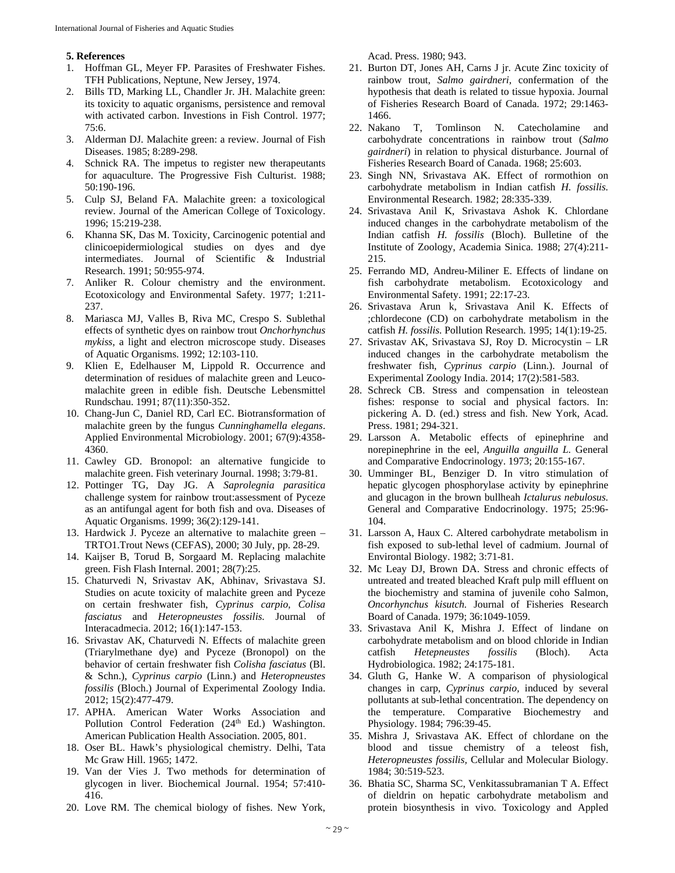## **5. References**

- 1. Hoffman GL, Meyer FP. Parasites of Freshwater Fishes. TFH Publications, Neptune, New Jersey, 1974.
- 2. Bills TD, Marking LL, Chandler Jr. JH. Malachite green: its toxicity to aquatic organisms, persistence and removal with activated carbon. Investions in Fish Control. 1977; 75:6.
- 3. Alderman DJ. Malachite green: a review. Journal of Fish Diseases. 1985; 8:289-298.
- 4. Schnick RA. The impetus to register new therapeutants for aquaculture. The Progressive Fish Culturist. 1988; 50:190-196.
- 5. Culp SJ, Beland FA. Malachite green: a toxicological review. Journal of the American College of Toxicology. 1996; 15:219-238.
- 6. Khanna SK, Das M. Toxicity, Carcinogenic potential and clinicoepidermiological studies on dyes and dye intermediates. Journal of Scientific & Industrial Research. 1991; 50:955-974.
- 7. Anliker R. Colour chemistry and the environment. Ecotoxicology and Environmental Safety. 1977; 1:211- 237.
- 8. Mariasca MJ, Valles B, Riva MC, Crespo S. Sublethal effects of synthetic dyes on rainbow trout *Onchorhynchus mykiss*, a light and electron microscope study. Diseases of Aquatic Organisms. 1992; 12:103-110.
- 9. Klien E, Edelhauser M, Lippold R. Occurrence and determination of residues of malachite green and Leucomalachite green in edible fish. Deutsche Lebensmittel Rundschau. 1991; 87(11):350-352.
- 10. Chang-Jun C, Daniel RD, Carl EC. Biotransformation of malachite green by the fungus *Cunninghamella elegans*. Applied Environmental Microbiology. 2001; 67(9):4358- 4360.
- 11. Cawley GD. Bronopol: an alternative fungicide to malachite green. Fish veterinary Journal. 1998; 3:79-81.
- 12. Pottinger TG, Day JG. A *Saprolegnia parasitica* challenge system for rainbow trout:assessment of Pyceze as an antifungal agent for both fish and ova. Diseases of Aquatic Organisms. 1999; 36(2):129-141.
- 13. Hardwick J. Pyceze an alternative to malachite green TRTO1.Trout News (CEFAS), 2000; 30 July, pp. 28-29.
- 14. Kaijser B, Torud B, Sorgaard M. Replacing malachite green. Fish Flash Internal. 2001; 28(7):25.
- 15. Chaturvedi N, Srivastav AK, Abhinav, Srivastava SJ. Studies on acute toxicity of malachite green and Pyceze on certain freshwater fish, *Cyprinus carpio, Colisa fasciatus* and *Heteropneustes fossilis.* Journal of Interacadmecia. 2012; 16(1):147-153.
- 16. Srivastav AK, Chaturvedi N. Effects of malachite green (Triarylmethane dye) and Pyceze (Bronopol) on the behavior of certain freshwater fish *Colisha fasciatus* (Bl. & Schn.), *Cyprinus carpio* (Linn.) and *Heteropneustes fossilis* (Bloch.) Journal of Experimental Zoology India. 2012; 15(2):477-479.
- 17. APHA. American Water Works Association and Pollution Control Federation (24<sup>th</sup> Ed.) Washington. American Publication Health Association. 2005, 801.
- 18. Oser BL. Hawk's physiological chemistry. Delhi, Tata Mc Graw Hill. 1965; 1472.
- 19. Van der Vies J. Two methods for determination of glycogen in liver. Biochemical Journal. 1954; 57:410- 416.
- 20. Love RM. The chemical biology of fishes. New York,

Acad. Press. 1980; 943.

- 21. Burton DT, Jones AH, Carns J jr. Acute Zinc toxicity of rainbow trout, *Salmo gairdneri,* confermation of the hypothesis that death is related to tissue hypoxia. Journal of Fisheries Research Board of Canada. 1972; 29:1463- 1466.
- 22. Nakano T, Tomlinson N. Catecholamine and carbohydrate concentrations in rainbow trout (*Salmo gairdneri*) in relation to physical disturbance. Journal of Fisheries Research Board of Canada. 1968; 25:603.
- 23. Singh NN, Srivastava AK. Effect of rormothion on carbohydrate metabolism in Indian catfish *H. fossilis.* Environmental Research. 1982; 28:335-339.
- 24. Srivastava Anil K, Srivastava Ashok K. Chlordane induced changes in the carbohydrate metabolism of the Indian catfish *H. fossilis* (Bloch). Bulletine of the Institute of Zoology, Academia Sinica. 1988; 27(4):211- 215.
- 25. Ferrando MD, Andreu-Miliner E. Effects of lindane on fish carbohydrate metabolism. Ecotoxicology and Environmental Safety. 1991; 22:17-23.
- 26. Srivastava Arun k, Srivastava Anil K. Effects of ;chlordecone (CD) on carbohydrate metabolism in the catfish *H. fossilis.* Pollution Research. 1995; 14(1):19-25.
- 27. Srivastav AK, Srivastava SJ, Roy D. Microcystin LR induced changes in the carbohydrate metabolism the freshwater fish, *Cyprinus carpio* (Linn.). Journal of Experimental Zoology India. 2014; 17(2):581-583.
- 28. Schreck CB. Stress and compensation in teleostean fishes: response to social and physical factors. In: pickering A. D. (ed.) stress and fish. New York, Acad. Press. 1981; 294-321.
- 29. Larsson A. Metabolic effects of epinephrine and norepinephrine in the eel, *Anguilla anguilla L.* General and Comparative Endocrinology. 1973; 20:155-167.
- 30. Umminger BL, Benziger D. In vitro stimulation of hepatic glycogen phosphorylase activity by epinephrine and glucagon in the brown bullheah *Ictalurus nebulosus.*  General and Comparative Endocrinology. 1975; 25:96- 104.
- 31. Larsson A, Haux C. Altered carbohydrate metabolism in fish exposed to sub-lethal level of cadmium. Journal of Environtal Biology. 1982; 3:71-81.
- 32. Mc Leay DJ, Brown DA. Stress and chronic effects of untreated and treated bleached Kraft pulp mill effluent on the biochemistry and stamina of juvenile coho Salmon, *Oncorhynchus kisutch.* Journal of Fisheries Research Board of Canada. 1979; 36:1049-1059.
- 33. Srivastava Anil K, Mishra J. Effect of lindane on carbohydrate metabolism and on blood chloride in Indian catfish *Hetepneustes fossilis* (Bloch). Acta Hydrobiologica. 1982; 24:175-181.
- 34. Gluth G, Hanke W. A comparison of physiological changes in carp, *Cyprinus carpio,* induced by several pollutants at sub-lethal concentration. The dependency on the temperature. Comparative Biochemestry and Physiology. 1984; 796:39-45.
- 35. Mishra J, Srivastava AK. Effect of chlordane on the blood and tissue chemistry of a teleost fish, *Heteropneustes fossilis,* Cellular and Molecular Biology. 1984; 30:519-523.
- 36. Bhatia SC, Sharma SC, Venkitassubramanian T A. Effect of dieldrin on hepatic carbohydrate metabolism and protein biosynthesis in vivo. Toxicology and Appled